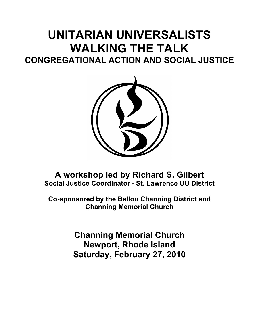# **UNITARIAN UNIVERSALISTS WALKING THE TALK**

**CONGREGATIONAL ACTION AND SOCIAL JUSTICE**



**A workshop led by Richard S. Gilbert Social Justice Coordinator - St. Lawrence UU District**

**Co-sponsored by the Ballou Channing District and Channing Memorial Church**

> **Channing Memorial Church Newport, Rhode Island Saturday, February 27, 2010**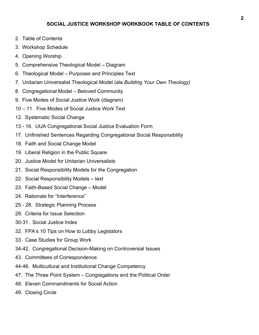#### **SOCIAL JUSTICE WORKSHOP WORKBOOK TABLE OF CONTENTS**

- 2. Table of Contents
- 3. Workshop Schedule
- 4. Opening Worship
- 5. Comprehensive Theological Model Diagram
- 6. Theological Model Purposes and Principles Text
- 7. Unitarian Universalist Theological Model (ala *Building Your Own Theology)*
- 8. Congregational Model Beloved Community
- 9. Five Modes of Social Justice Work (diagram)
- 10 11. Five Modes of Social Justice Work Text
- 12. Systematic Social Change
- 13 16. UUA Congregational Social Justice Evaluation Form
- 17. Unfinished Sentences Regarding Congregational Social Responsibility
- 18. Faith and Social Change Model
- 19. Liberal Religion in the Public Square
- 20. Justice Model for Unitarian Universalists
- 21. Social Responsibility Models for the Congregation
- 22. Social Responsibility Models text
- 23. Faith-Based Social Change Model
- 24. Rationale for "Interference"
- 25 28. Strategic Planning Process
- 29. Criteria for Issue Selection
- 30-31. Social Justice Index
- 32. FPA's 10 Tips on How to Lobby Legislators
- 33. Case Studies for Group Work
- 34-42. Congregational Decision-Making on Controversial Issues
- 43. Committees of Correspondence
- 44-46. Multicultural and Institutional Change Competency
- 47. The Three Point System Congregations and the Political Order
- 48. Eleven Commandments for Social Action
- 49. Closing Circle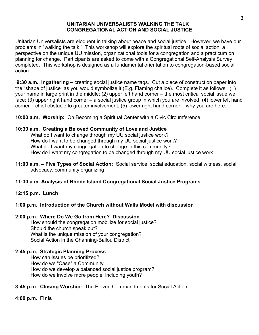#### **UNITARIAN UNIVERSALISTS WALKING THE TALK CONGREGATIONAL ACTION AND SOCIAL JUSTICE**

Unitarian Universalists are eloquent in talking about peace and social justice. However, we have our problems in "walking the talk." This workshop will explore the spiritual roots of social action, a perspective on the unique UU mission, organizational tools for a congregation and a practicum on planning for change. Participants are asked to come with a Congregational Self-Analysis Survey completed. This workshop is designed as a fundamental orientation to congregation-based social action.

**9:30 a.m. Ingathering –** creating social justice name tags. Cut a piece of construction paper into the "shape of justice" as you would symbolize it (E.g. Flaming chalice). Complete it as follows: (1) your name in large print in the middle; (2) upper left hand corner – the most critical social issue we face; (3) upper right hand corner – a social justice group in which you are involved; (4) lower left hand corner – chief obstacle to greater involvement; (5) lower right hand corner – why you are here.

**10:00 a.m. Worship:** On Becoming a Spiritual Center with a Civic Circumference

#### **10:30 a.m. Creating a Beloved Community of Love and Justice**

What do I want to change through my UU social justice work? How do I want to be changed through my UU social justice work? What do I want my congregation to change in this community? How do I want my congregation to be changed through my UU social justice work

**11:00 a.m. – Five Types of Social Action:** Social service, social education, social witness, social advocacy, community organizing

#### **11:30 a.m. Analysis of Rhode Island Congregational Social Justice Programs**

**12:15 p.m. Lunch**

#### **1:00 p.m. Introduction of the Church without Walls Model with discussion**

#### **2:00 p.m. Where Do We Go from Here? Discussion**

How should the congregation mobilize for social justice? Should the church speak out? What is the unique mission of your congregation? Social Action in the Channing-Ballou District

#### **2:45 p.m. Strategic Planning Process**

How can issues be prioritized? How do we "Case" a Community How do we develop a balanced social justice program? How do we involve more people, including youth?

#### **3:45 p.m. Closing Worship:** The Eleven Commandments for Social Action

#### **4:00 p.m. Finis**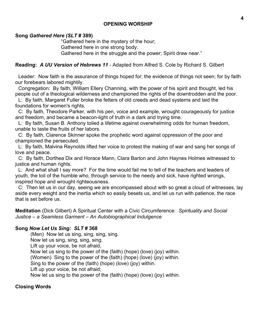#### **OPENING WORSHIP**

#### **Song** *Gathered Here (SLT* **# 389)**

"Gathered here in the mystery of the hour; Gathered here in one strong body. Gathered here in the struggle and the power; Spirit draw near."

**Reading:** *A UU Version of Hebrews 11* - Adapted from Alfred S. Cole by Richard S. Gilbert

Leader: Now faith is the assurance of things hoped for; the evidence of things not seen; for by faith our forebears labored mightily.

Congregation: By faith, William Ellery Channing, with the power of his spirit and thought, led his people out of a theological wilderness and championed the rights of the downtrodden and the poor.

L: By faith, Margaret Fuller broke the fetters of old creeds and dead systems and laid the foundations for women's rights.

C: By faith, Theodore Parker, with his pen, voice and example, wrought courageously for justice and freedom, and became a beacon-light of truth in a dark and trying time.

L: By faith, Susan B. Anthony toiled a lifetime against overwhelming odds for human freedom, unable to taste the fruits of her labors.

C: By faith, Clarence Skinner spoke the prophetic word against oppression of the poor and championed the persecuted.

L: By faith, Malvina Reynolds lifted her voice to protest the making of war and sang her songs of love and peace.

C: By faith, Dorthea Dix and Horace Mann, Clara Barton and John Haynes Holmes witnessed to justice and human rights.

L: And what shall I say more? For the time would fail me to tell of the teachers and leaders of youth, the toil of the humble who, through service to the needy and sick, have righted wrongs, inspired hope and wrought righteousness.

C: Then let us in our day, seeing we are encompassed about with so great a cloud of witnesses, lay aside every weight and the inertia which so easily besets us, and let us run with patience, the race that is set before us.

**Meditation** (Dick Gilbert) A Spiritual Center with a Civic Circumference: *Spirituality and Social Justice – a Seamless Garment – An Autobiographical Indulgence*

#### **Song** *Now Let Us Sing: SLT* **# 368**

(Men) Now let us sing, sing, sing, sing. Now let us sing, sing, sing, sing. Lift up your voice, be not afraid, Now let us sing to the power of the (faith) (hope) (love) (joy) within. (Women) Sing to the power of the (faith) (hope) (love) (joy) within. Sing to the power of the (faith) (hope) (love) (joy) within. Lift up your voice, be not afraid; Now let us sing to the power of the (faith) (hope) (love) (joy) within.

#### **Closing Words**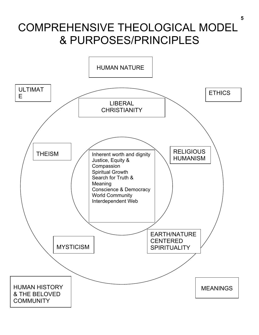## COMPREHENSIVE THEOLOGICAL MODEL & PURPOSES/PRINCIPLES

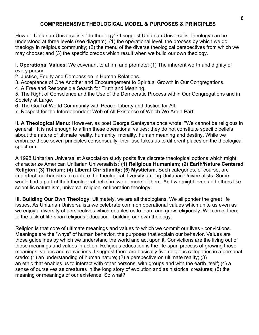#### **COMPREHENSIVE THEOLOGICAL MODEL & PURPOSES & PRINCIPLES**

How do Unitarian Universalists "do theology"? I suggest Unitarian Universalist theology can be understood at three levels (see diagram): (1) the operational level, the process by which we do theology in religious community; (2) the menu of the diverse theological perspectives from which we may choose; and (3) the specific credos which result when we build our own theology.

**I. Operational Values**: We covenant to affirm and promote: (1) The inherent worth and dignity of every person.

2. Justice, Equity and Compassion in Human Relations.

3. Acceptance of One Another and Encouragement to Spiritual Growth in Our Congregations.

4. A Free and Responsible Search for Truth and Meaning.

5. The Right of Conscience and the Use of the Democratic Process within Our Congregations and in Society at Large.

6. The Goal of World Community with Peace, Liberty and Justice for All.

7. Respect for the Interdependent Web of All Existence of Which We Are a Part.

**II. A Theological Menu**: However, as poet George Santayana once wrote: "We cannot be religious in general." It is not enough to affirm these operational values; they do not constitute specific beliefs about the nature of ultimate reality, humanity, morality, human meaning and destiny. While we embrace these seven principles consensually, their use takes us to different places on the theological spectrum.

A 1998 Unitarian Universalist Association study posits five discrete theological options which might characterize American Unitarian Universalists:' **(1) Religious Humanism; (2) Earth/Nature Centered Religion; (3) Theism; (4) Liberal Christianity; (5) Mysticism.** Such categories, of course, are imperfect mechanisms to capture the theological diversity among Unitarian Universalists. Some would find a part of their theological belief in two or more of them. And we might even add others like scientific naturalism, universal religion, or liberation theology.

**III. Building Our Own Theology**: Ultimately, we are all theologians. We all ponder the great life issues. As Unitarian Universalists we celebrate common operational values which unite us even as we enjoy a diversity of perspectives which enables us to learn and grow religiously. We come, then, to the task of life-span religious education - building our own theology.

Religion is that core of ultimate meanings and values to which we commit our lives - convictions. Meanings are the "whys" of human behavior, the purposes that explain our behavior. Values are those guidelines by which we understand the world and act upon it. Convictions are the living out of those meanings and values in action. Religious education is the life-span process of growing those meanings, values and convictions. I suggest there are basically five religious categories in a personal credo: (1) an understanding of human nature; (2) a perspective on ultimate reality; (3) an ethic that enables us to interact with other persons, with groups and with the earth itself; (4) a sense of ourselves as creatures in the long story of evolution and as historical creatures; (5) the meaning or meanings of our existence. So what?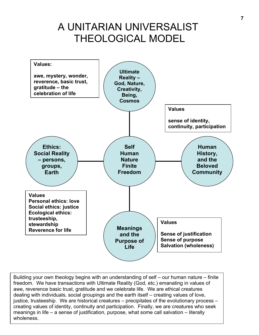### A UNITARIAN UNIVERSALIST THEOLOGICAL MODEL



Building your own theology begins with an understanding of self – our human nature – finite freedom. We have transactions with Ultimate Reality (God, etc.) emanating in values of awe, reverence basic trust, gratitude and we celebrate life. We are ethical creatures dealing with individuals, social groupings and the earth itself – creating values of love, justice, trusteeship. We are historical creatures – precipitates of the evolutionary process – creating values of identity, continuity and participation. Finally, we are creatures who seek meanings in life – a sense of justification, purpose, what some call salvation – literally wholeness.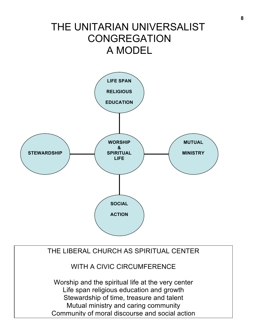### THE UNITARIAN UNIVERSALIST **CONGREGATION** A MODEL



### THE LIBERAL CHURCH AS SPIRITUAL CENTER

### WITH A CIVIC CIRCUMFERENCE

Worship and the spiritual life at the very center Life span religious education and growth Stewardship of time, treasure and talent Mutual ministry and caring community Community of moral discourse and social action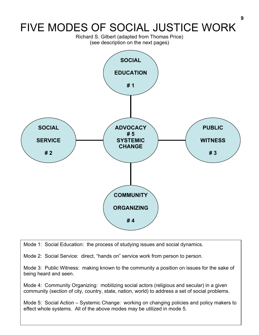

Mode 1: Social Education: the process of studying issues and social dynamics.

Mode 2: Social Service: direct, "hands on" service work from person to person.

Mode 3: Public Witness: making known to the community a position on issues for the sake of being heard and seen.

Mode 4: Community Organizing: mobilizing social actors (religious and secular) in a given community (section of city, country, state, nation, world) to address a set of social problems.

Mode 5: Social Action – Systemic Change: working on changing policies and policy makers to effect whole systems. All of the above modes may be utilized in mode 5.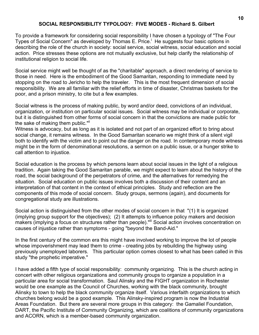#### **SOCIAL RESPONSIBILITY TYPOLOGY: FIVE MODES - Richard S. Gilbert**

To provide a framework for considering social responsibility I have chosen a typology of "The Four Types of Social Concern" as developed by Thomas E. Price.<sup>i</sup> He suggests four basic options in describing the role of the church in society: social service, social witness, social education and social action. Price stresses these options are not mutually exclusive, but help clarify the relationship of institutional religion to social life.

Social service might well be thought of as the "charitable" approach, a direct rendering of service to those in need. Here is the embodiment of the Good Samaritan, responding to immediate need by stopping on the road to Jericho to help the traveler. This is the most frequent dimension of social responsibility. We are all familiar with the relief efforts in time of disaster, Christmas baskets for the poor, and a prison ministry, to cite but a few examples.

Social witness is the process of making public, by word and/or deed, convictions of an individual, organization, or institution on particular social issues. Social witness may be individual or corporate, but it is distinguished from other forms of social concern in that the convictions are made public for the sake of making them public. $"$ 

Witness is advocacy, but as long as it is isolated and not part of an organized effort to bring about social change, it remains witness. In the Good Samaritan scenario we might think of a silent vigil both to identify with the victim and to point out the danger on the road. In contemporary mode witness might be in the form of denominational resolutions, a sermon on a public issue, or a hunger strike to call attention to injustice.

Social education is the process by which persons learn about social issues in the light of a religious tradition. Again taking the Good Samaritan parable, we might expect to learn about the history of the road, the social background of the perpetrators of crime, and the alternatives for remedying the situation. Social education on public issues involves both a discussion of their content and an interpretation of that content in the context of ethical principles. Study and reflection are the components of this mode of social concern. Study groups, sermons (again), and documents for congregational study are illustrations.

Social action is distinguished from the other modes of social concern in that "(1) It is organized (implying group support for the objectives); (2) It attempts to influence policy makers and decision makers (implying a focus on structures rather than people)."<sup>iii</sup> Social action involves concentration on causes of injustice rather than symptoms - going "beyond the Band-Aid."

In the first century of the common era this might have involved working to improve the lot of people whose impoverishment may lead them to crime - creating jobs by rebuilding the highway using previously unemployed laborers. This particular option comes closest to what has been called in this study "the prophetic imperative."

I have added a fifth type of social responsibility: community organizing. This is the church acting in concert with other religious organizations and community groups to organize a population in a particular area for social transformation. Saul Alinsky and the FIGHT organization in Rochester would be one example as the Council of Churches, working with the black community, brought Alinsky to town to help the black community organize itself. Various interfaith organizations to which churches belong would be a good example. This Alinsky-inspired program is now the Industrial Areas Foundation. But there are several more groups in this category: the Gamaliel Foundation, DART, the Pacific Institute of Community Organizing, which are coalitions of community organizations and ACORN, which is a member-based community organization.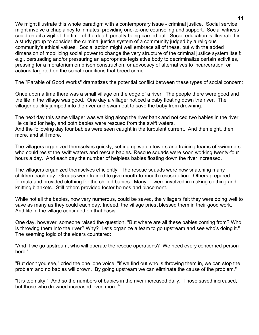We might illustrate this whole paradigm with a contemporary issue - criminal justice. Social service might involve a chaplaincy to inmates, providing one-to-one counseling and support. Social witness could entail a vigil at the time of the death penalty being carried out. Social education is illustrated in a study group to consider the criminal justice system of a community judged by a religious community's ethical values. Social action might well embrace all of these, but with the added dimension of mobilizing social power to change the very structure of the criminal justice system itself: e.g., persuading and/or pressuring an appropriate legislative body to decriminalize certain activities, pressing for a moratorium on prison construction, or advocacy of alternatives to incarceration, or actions targeted on the social conditions that breed crime.

The "Parable of Good Works" dramatizes the potential conflict between these types of social concern:

Once upon a time there was a small village on the edge of a river. The people there were good and the life in the village was good. One day a villager noticed a baby floating down the river. The villager quickly jumped into the river and swam out to save the baby from drowning.

The next day this same villager was walking along the river bank and noticed two babies in the river. He called for help, and both babies were rescued from the swift waters. And the following day four babies were seen caught in the turbulent current. And then eight, then more, and still more.

The villagers organized themselves quickly, setting up watch towers and training teams of swimmers who could resist the swift waters and rescue babies. Rescue squads were soon working twenty-four hours a day. And each day the number of helpless babies floating down the river increased.

The villagers organized themselves efficiently. The rescue squads were now snatching many children each day. Groups were trained to give mouth-to-mouth resuscitation. Others prepared formula and provided clothing for the chilled babies. Many.... were involved in making clothing and knitting blankets. Still others provided foster homes and placement.

While not all the babies, now very numerous, could be saved, the villagers felt they were doing well to save as many as they could each day. Indeed, the village priest blessed them in their good work. And life in the village continued on that basis.

One day, however, someone raised the question, "But where are all these babies coming from? Who is throwing them into the river? Why? Let's organize a team to go upstream and see who's doing it." The seeming logic of the elders countered:

"And if we go upstream, who will operate the rescue operations? We need every concerned person here."

"But don't you see," cried the one lone voice, "if we find out who is throwing them in, we can stop the problem and no babies will drown. By going upstream we can eliminate the cause of the problem."

"It is too risky." And so the numbers of babies in the river increased daily. Those saved increased, but those who drowned increased even more.<sup>iv</sup>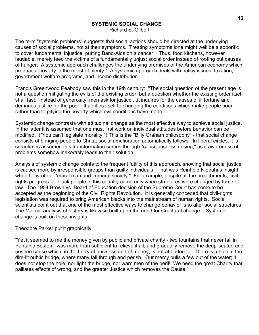#### **SYSTEMIC SOCIAL CHANGE**

Richard S. Gilbert

The term "systemic problems" suggests that social actions should be directed at the underlying causes of social problems, not at their symptoms. Treating symptoms lone might well be a soporific to cover fundamental injustice, putting Band-Aids on a cancer. Thus, food kitchens, however laudable, merely feed the victims of a fundamentally unjust social order instead of rooting out causes of hunger. A systemic approach challenges the underlying premises of the American economy which produces "poverty in the midst of plenty." A systemic approach deals with policy issues, taxation, government welfare programs, and income distribution.

Francis Greenwood Peabody saw this in the 19th century: "The social question of the present age is not a question mitigating the evils of the existing order, but a question whether the existing order itself shall last. Instead of generosity, men ask for justice....it inquires for the causes of ill fortune and demands justice for the poor. It applies itself to changing the conditions which make people poor rather than to pitying the poverty which evil conditions have made."

Systemic change contrasts with attitudinal change as the most effective way to achieve social justice. In the latter it is assumed that one must first work on individual attitudes before behavior can be modified. ("You can't legislate morality!") This is the "Billy Graham philosophy" - that social change consists of bringing people to Christ; social amelioration automatically follows. In liberal circles, it is sometimes assumed this transformation comes through "consciousness raising," as if awareness of problems somehow inexorably leads to their solution.

Analysis of systemic change points to the frequent futility of this approach, showing that social justice is caused more by irresponsible groups than guilty individuals. That was Reinhold Niebuhr's insight when he wrote of "moral man and immoral society." For example, despite all the preachments, civil rights progress for black people in this country came only when structures were changed by force of law. The 1954 Brown vs. Board of Education decision of the Supreme Court has come to be accepted as the beginning of the Civil Rights Revolution. It is generally conceded that civil-rights legislation was required to bring American blacks into the mainstream of human rights. Social scientists point out that one of the most effective ways to change behavior is to alter social structures. The Marxist analysis of history is likewise built upon the need for structural change. Systemic change is built on these insights.

Theodore Parker put it graphically:

"Yet it seemed to me the money given by public and private charity - two fountains that never fail in Puritanic Boston - was more than sufficient to relieve it all, and gradually remove the deep-seated and unseen cause which, in the hurry of business and of money, is not attended to. There is a hole in the dim-lit public bridge, where many fall through and perish. Our mercy pulls a few out of the water; it does not stop the hole, nor light the bridge, nor warn men of the peril! We need the great Charity that palliates effects of wrong, and the greater Justice which removes the Cause."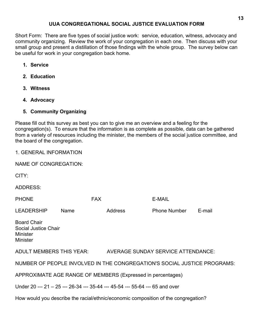#### **UUA CONGREGATIONAL SOCIAL JUSTICE EVALUATION FORM**

Short Form: There are five types of social justice work: service, education, witness, advocacy and community organizing. Review the work of your congregation in each one. Then discuss with your small group and present a distillation of those findings with the whole group. The survey below can be useful for work in your congregation back home.

- **1. Service**
- **2. Education**
- **3. Witness**
- **4. Advocacy**

#### **5. Community Organizing**

Please fill out this survey as best you can to give me an overview and a feeling for the congregation(s). To ensure that the information is as complete as possible, data can be gathered from a variety of resources including the minister, the members of the social justice committee, and the board of the congregation.

|  |  | 1. GENERAL INFORMATION |
|--|--|------------------------|
|--|--|------------------------|

CITY:

ADDRESS:

| <b>PHONE</b>                                                                       | <b>FAX</b> |                                                                          | E-MAIL                                    |        |  |
|------------------------------------------------------------------------------------|------------|--------------------------------------------------------------------------|-------------------------------------------|--------|--|
| <b>LEADERSHIP</b>                                                                  | Name       | <b>Address</b>                                                           | <b>Phone Number</b>                       | E-mail |  |
| <b>Board Chair</b><br>Social Justice Chair<br>Minister<br><b>Minister</b>          |            |                                                                          |                                           |        |  |
| ADULT MEMBERS THIS YEAR:                                                           |            |                                                                          | <b>AVERAGE SUNDAY SERVICE ATTENDANCE:</b> |        |  |
|                                                                                    |            | NUMBER OF PEOPLE INVOLVED IN THE CONGREGATION'S SOCIAL JUSTICE PROGRAMS: |                                           |        |  |
| APPROXIMATE AGE RANGE OF MEMBERS (Expressed in percentages)                        |            |                                                                          |                                           |        |  |
| Under 20 --- 21 - 25 --- 26-34 --- 35-44 --- 45-54 --- 55-64 --- 65 and over       |            |                                                                          |                                           |        |  |
| How would you describe the racial/ethnic/economic composition of the congregation? |            |                                                                          |                                           |        |  |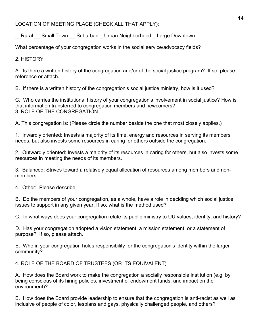LOCATION OF MEETING PLACE (CHECK ALL THAT APPLY):

Rural Gmall Town Guburban Urban Neighborhood Large Downtown

What percentage of your congregation works in the social service/advocacy fields?

#### 2. HISTORY

A. Is there a written history of the congregation and/or of the social justice program? If so, please reference or attach.

B. If there is a written history of the congregation's social justice ministry, how is it used?

C. Who carries the institutional history of your congregation's involvement in social justice? How is that information transferred to congregation members and newcomers? 3. ROLE OF THE CONGREGATION

A. This congregation is: (Please circle the number beside the one that most closely applies.)

1. Inwardly oriented: Invests a majority of its time, energy and resources in serving its members needs, but also invests some resources in caring for others outside the congregation.

2. Outwardly oriented: Invests a majority of its resources in caring for others, but also invests some resources in meeting the needs of its members.

3. Balanced: Strives toward a relatively equal allocation of resources among members and nonmembers.

4. Other: Please describe:

B. Do the members of your congregation, as a whole, have a role in deciding which social justice issues to support in any given year. If so, what is the method used?

C. In what ways does your congregation relate its public ministry to UU values, identity, and history?

D. Has your congregation adopted a vision statement, a mission statement, or a statement of purpose? If so, please attach.

E. Who in your congregation holds responsibility for the congregation's identity within the larger community?

4. ROLE OF THE BOARD OF TRUSTEES (OR ITS EQUIVALENT)

A. How does the Board work to make the congregation a socially responsible institution (e.g. by being conscious of its hiring policies, investment of endowment funds, and impact on the environment)?

B. How does the Board provide leadership to ensure that the congregation is anti-racist as well as inclusive of people of color, lesbians and gays, physically challenged people, and others?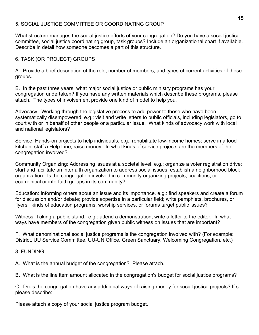#### 5. SOCIAL JUSTICE COMMITTEE OR COORDINATING GROUP

What structure manages the social justice efforts of your congregation? Do you have a social justice committee, social justice coordinating group, task groups? Include an organizational chart if available. Describe in detail how someone becomes a part of this structure.

#### 6. TASK (OR PROJECT) GROUPS

A. Provide a brief description of the role, number of members, and types of current activities of these groups.

B. In the past three years, what major social justice or public ministry programs has your congregation undertaken? If you have any written materials which describe these programs, please attach. The types of involvement provide one kind of model to help you.

Advocacy: Working through the legislative process to add power to those who have been systematically disempowered. e.g.: visit and write letters to public officials, including legislators, go to court with or in behalf of other people or a particular issue. What kinds of advocacy work with local and national legislators?

Service: Hands-on projects to help individuals. e.g.: rehabilitate low-income homes; serve in a food kitchen; staff a Help Line; raise money. In what kinds of service projects are the members of the congregation involved?

Community Organizing: Addressing issues at a societal level. e.g.: organize a voter registration drive; start and facilitate an interfaith organization to address social issues; establish a neighborhood block organization. Is the congregation involved in community organizing projects, coalitions, or ecumenical or interfaith groups in its community?

Education: Informing others about an issue and its importance. e.g.: find speakers and create a forum for discussion and/or debate; provide expertise in a particular field; write pamphlets, brochures, or flyers. kinds of education programs, worship services, or forums target public issues?

Witness: Taking a public stand. e.g.: attend a demonstration, write a letter to the editor. In what ways have members of the congregation given public witness on issues that are important?

F. What denominational social justice programs is the congregation involved with? (For example: District, UU Service Committee, UU-UN Office, Green Sanctuary, Welcoming Congregation, etc.)

#### 8. FUNDING

A. What is the annual budget of the congregation? Please attach.

B. What is the line item amount allocated in the congregation's budget for social justice programs?

C. Does the congregation have any additional ways of raising money for social justice projects? If so please describe:

Please attach a copy of your social justice program budget.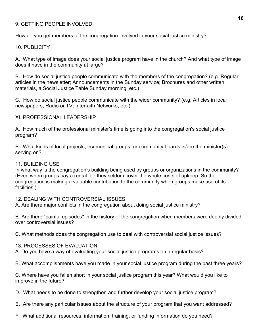#### 9. GETTING PEOPLE INVOLVED

How do you get members of the congregation involved in your social justice ministry?

#### 10. PUBLICITY

A. What type of image does your social justice program have in the church? And what type of image does it have in the community at large?

B. How do social justice people communicate with the members of the congregation? (e.g. Regular articles in the newsletter; Announcements in the Sunday service; Brochures and other written materials, a Social Justice Table Sunday morning, etc.)

C. How do social justice people communicate with the wider community? (e.g. Articles in local newspapers; Radio or TV; Interfaith Networks; etc.)

XI. PROFESSIONAL LEADERSHIP

A. How much of the professional minister's time is going into the congregation's social justice program?

B. What kinds of local projects, ecumenical groups, or community boards is/are the minister(s) serving on?

#### 11. BUILDING USE

In what way is the congregation's building being used by groups or organizations in the community? (Even when groups pay a rental fee they seldom cover the whole costs of upkeep. So the congregation is making a valuable contribution to the community when groups make use of its facilities.)

#### 12. DEALING WITH CONTROVERSIAL ISSUES

A. Are there major conflicts in the congregation about doing social justice ministry?

B. Are there "painful episodes" in the history of the congregation when members were deeply divided over controversial issues?

C. What methods does the congregation use to deal with controversial social justice issues?

#### 13. PROCESSES OF EVALUATION

A. Do you have a way of evaluating your social justice programs on a regular basis?

B. What accomplishments have you made in your social justice program during the past three years?

C. Where have you fallen short in your social justice program this year? What would you like to improve in the future?

- D. What needs to be done to strengthen and further develop your social justice program?
- E. Are there any particular issues about the structure of your program that you want addressed?
- F. What additional resources, information, training, or funding information do you need?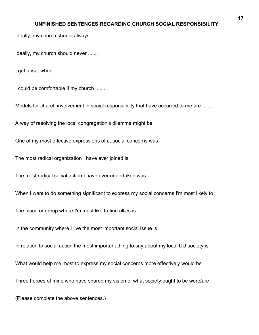#### **UNFINISHED SENTENCES REGARDING CHURCH SOCIAL RESPONSIBILITY**

Ideally, my church should always .......

Ideally, my church should never .......

I get upset when .......

I could be comfortable if my church .......

Models for church involvement in social responsibility that have occurred to me are .......

A way of resolving the local congregation's dilemma might be

One of my most effective expressions of a, social concerns was

The most radical organization I have ever joined is

The most radical social action I have ever undertaken was

When I want to do something significant to express my social concerns I'm most likely to

The place or group where I'm most like to find allies is

In the community where I live the most important social issue is

In relation to social action the most important thing to say about my local UU society is

What would help me most to express my social concerns more effectively would be

Three heroes of mine who have shared my vision of what society ought to be were/are

(Please complete the above sentences.)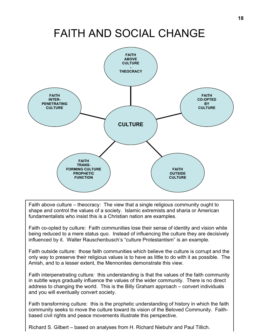### FAITH AND SOCIAL CHANGE



Faith above culture – theocracy: The view that a single religious community ought to shape and control the values of a society. Islamic extremists and sharia or American fundamentalists who insist this is a Christian nation are examples.

Faith co-opted by culture: Faith communities lose their sense of identity and vision while being reduced to a mere status quo. Instead of influencing the culture they are decisively influenced by it. Walter Rauschenbusch's "culture Protestantism" is an example.

Faith outside culture: those faith communities which believe the culture is corrupt and the only way to preserve their religious values is to have as little to do with it as possible. The Amish, and to a lesser extent, the Mennonites demonstrate this view.

Faith interpenetrating culture: this understanding is that the values of the faith community in subtle ways gradually influence the values of the wider community. There is no direct address to changing the world. This is the Billy Graham approach – convert individuals and you will eventually convert society.

Faith transforming culture: this is the prophetic understanding of history in which the faith community seeks to move the culture toward its vision of the Beloved Community. Faithbased civil rights and peace movements illustrate this perspective.

Richard S. Gilbert – based on analyses from H. Richard Niebuhr and Paul Tillich.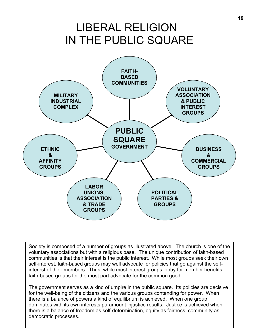## LIBERAL RELIGION IN THE PUBLIC SQUARE



Society is composed of a number of groups as illustrated above. The church is one of the voluntary associations but with a religious base. The unique contribution of faith-based communities is that their interest is the public interest. While most groups seek their own self-interest, faith-based groups may well advocate for policies that go against the selfinterest of their members. Thus, while most interest groups lobby for member benefits, faith-based groups for the most part advocate for the common good.

The government serves as a kind of umpire in the public square. Its policies are decisive for the well-being of the citizens and the various groups contending for power. When there is a balance of powers a kind of equilibrium is achieved. When one group dominates with its own interests paramount injustice results. Justice is achieved when there is a balance of freedom as self-determination, equity as fairness, community as democratic processes.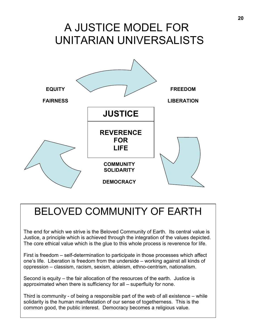### A JUSTICE MODEL FOR UNITARIAN UNIVERSALISTS



### BELOVED COMMUNITY OF EARTH

The end for which we strive is the Beloved Community of Earth. Its central value is Justice, a principle which is achieved through the integration of the values depicted. The core ethical value which is the glue to this whole process is reverence for life.

First is freedom – self-determination to participate in those processes which affect one's life. Liberation is freedom from the underside – working against all kinds of oppression – classism, racism, sexism, ableism, ethno-centrism, nationalism.

Second is equity – the fair allocation of the resources of the earth. Justice is approximated when there is sufficiency for all – superfluity for none.

Third is community - of being a responsible part of the web of all existence – while solidarity is the human manifestation of our sense of togetherness.This is the common good, the public interest. Democracy becomes a religious value.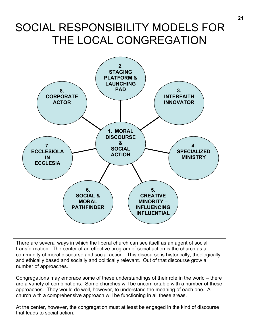## SOCIAL RESPONSIBILITY MODELS FOR THE LOCAL CONGREGATION



There are several ways in which the liberal church can see itself as an agent of social transformation. The center of an effective program of social action is the church as a community of moral discourse and social action. This discourse is historically, theologically and ethically based and socially and politically relevant. Out of that discourse grow a number of approaches.

Congregations may embrace some of these understandings of their role in the world – there are a variety of combinations. Some churches will be uncomfortable with a number of these approaches. They would do well, however, to understand the meaning of each one. A church with a comprehensive approach will be functioning in all these areas.

At the center, however, the congregation must at least be engaged in the kind of discourse that leads to social action.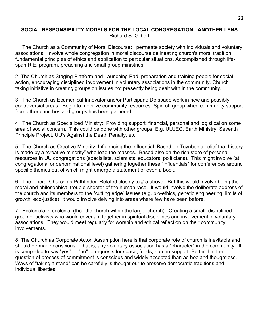#### **SOCIAL RESPONSIBILITY MODELS FOR THE LOCAL CONGREGATION: ANOTHER LENS** Richard S. Gilbert

1. The Church as a Community of Moral Discourse: permeate society with individuals and voluntary associations. Involve whole congregation in moral discourse delineating church's moral tradition, fundamental principles of ethics and application to particular situations. Accomplished through lifespan R.E. program, preaching and small group ministries.

2. The Church as Staging Platform and Launching Pad: preparation and training people for social action, encouraging disciplined involvement in voluntary associations in the community. Church taking initiative in creating groups on issues not presently being dealt with in the community.

3. The Church as Ecumenical Innovator and/or Participant: Do spade work in new and possibly controversial areas. Begin to mobilize community resources. Spin off group when community support from other churches and groups has been garnered.

4. The Church as Specialized Ministry: Providing support, financial, personal and logistical on some area of social concern. This could be done with other groups. E.g. UUJEC, Earth Ministry, Seventh Principle Project, UU's Against the Death Penalty, etc.

5. The Church as Creative Minority: Influencing the Influential: Based on Toynbee's belief that history is made by a "creative minority" who lead the masses. Based also on the rich store of personal resources in UU congregations (specialists, scientists, educators, politicians). This might involve (at congregational or denominational level) gathering together these "influentials" for conferences around specific themes out of which might emerge a statement or even a book.

6. The Liberal Church as Pathfinder. Related closely to # 5 above. But this would involve being the moral and philosophical trouble-shooter of the human race. It would involve the deliberate address of the church and its members to the "cutting edge" issues (e.g. bio-ethics, genetic engineering, limits of growth, eco-justice). It would involve delving into areas where few have been before.

7. Ecclesiola in ecclesia: (the little church within the larger church). Creating a small, disciplined group of activists who would covenant together in spiritual disciplines and involvement in voluntary associations. They would meet regularly for worship and ethical reflection on their community involvements.

8. The Church as Corporate Actor: Assumption here is that corporate role of church is inevitable and should be made conscious. That is, any voluntary association has a "character" in the community. It is compelled to say "yes" or "no" to requests for space, funds, human support. Better that the question of process of commitment is conscious and widely accepted than ad hoc and thoughtless. Ways of "taking a stand" can be carefully is thought our to preserve democratic traditions and individual liberties.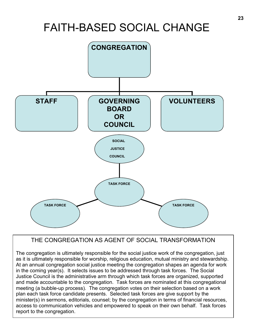## FAITH-BASED SOCIAL CHANGE



### THE CONGREGATION AS AGENT OF SOCIAL TRANSFORMATION

The congregation is ultimately responsible for the social justice work of the congregation, just as it is ultimately responsible for worship, religious education, mutual ministry and stewardship. At an annual congregation social justice meeting the congregation shapes an agenda for work in the coming year(s). It selects issues to be addressed through task forces. The Social Justice Council is the administrative arm through which task forces are organized, supported and made accountable to the congregation. Task forces are nominated at this congregational meeting (a bubble-up process). The congregation votes on their selection based on a work plan each task force candidate presents. Selected task forces are give support by the minister(s) in sermons, editorials, counsel; by the congregation in terms of financial resources, access to communication vehicles and empowered to speak on their own behalf. Task forces report to the congregation.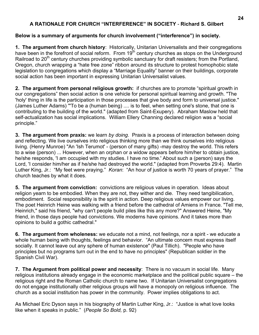#### **A RATIONALE FOR CHURCH "INTERFERENCE" IN SOCIETY** - **Richard S. Gilbert**

#### **Below is a summary of arguments for church involvement ("interference") in society.**

**1. The argument from church history**: Historically, Unitarian Universalists and their congregations have been in the forefront of social reform. From  $19<sup>th</sup>$  century churches as stops on the Underground Railroad to 20<sup>th</sup> century churches providing symbolic sanctuary for draft resisters; from the Portland, Oregon, church wrapping a "hate free zone" ribbon around its structure to protest homophobic state legislation to congregations which display a "Marriage Equality" banner on their buildings, corporate social action has been important in expressing Unitarian Universalist values.

**2. The argument from personal religious growth:** if churches are to promote "spiritual growth in our congregations" then social action is one vehicle for personal spiritual learning and growth. "The 'holy' thing in life is the participation in those processes that give body and form to universal justice." (James Luther Adams) '"To be a (human being) .... is to feel, when setting one's stone, that one is contributing to the building of the world." (adapted from Saint-Exupery). Abraham Maslow held that self-actualization has social implications. William Ellery Channing declared religion was a "social principle."

**3. The argument from praxis:** we learn *by doing*. Praxis is a process of interaction between doing and reflecting. We live ourselves into religious thinking more than we think ourselves into religious living. (Henry Munroe) "An 'Ish Terumot' - (person of many gifts) -may destroy the world. This refers to a wise (person) ... However, when an orphan or a widow appears before him/her to obtain justice, he/she responds, 'I am occupied with my studies. I have no time.' About such a (person) says the Lord, 'I consider him/her as if he/she had destroyed the world." (adapted from Proverbs 29:4). Martin Luther King, Jr.: "My feet were praying." *Koran*: "An hour of justice is worth 70 years of prayer." The church teaches by what it does.

**5. The argument from conviction:** convictions are religious values in operation. Ideas about religion yearn to be embodied. When they are not, they wither and die. They need tangibilication, embodiment. Social responsibility is the spirit in action. Deep religious values empower our living. The poet Heinrich Heine was walking with a friend before the cathedral of Amiens in France. "Tell me, Heinrich," said his friend, "why can't people build piles like this any more?" Answered Heine, "My friend, in those days people had convictions. We moderns have opinions. And it takes more than opinions to build a gothic cathedral."

**6. The argument from wholeness:** we educate not a mind, not feelings, nor a spirit - we educate a whole human being with thoughts, feelings and behavior. "An ultimate concern must express itself socially. It cannot leave out any sphere of human existence" (Paul Tillich). "People who have principles but no programs turn out in the end to have no principles" (Republican soldier in the Spanish Civil War).

**7. The Argument from political power and necessity**: There is no vacuum in social life. Many religious institutions already engage in the economic marketplace and the political public square – the religious right and the Roman Catholic church to name two. If Unitarian Universalist congregations do not engage institutionally other religious groups will have a monopoly on religious influence. The church as a social institution has power in the community. Power implies obligations to act.

As Michael Eric Dyson says in his biography of Martin Luther King, Jr.: "Justice is what love looks like when it speaks in public." (*People So Bold,* p. 92)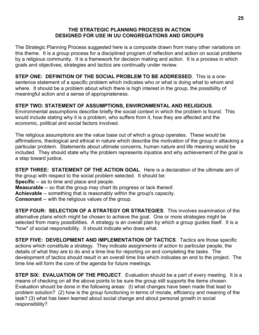#### **THE STRATEGIC PLANNING PROCESS IN ACTION DESIGNED FOR USE IN UU CONGREGATIONS AND GROUPS**

The Strategic Planning Process suggested here is a composite drawn from many other variations on this theme. It is a group process for a disciplined program of reflection and action on social problems by a religious community. It is a framework for decision making and action. It is a process in which goals and objectives, strategies and tactics are continually under review.

**STEP ONE: DEFINITION OF THE SOCIAL PROBLEM TO BE ADDRESSED**. This is a onesentence statement of a specific problem which indicates who or what is doing what to whom and where. It should be a problem about which there is high interest in the group, the possibility of meaningful action and a sense of appropriateness.

#### **STEP TWO: STATEMENT OF ASSUMPTIONS, ENVIRONMENTAL AND RELIGIOUS**.

Environmental assumptions describe briefly the social context in which the problem is found. This would include stating why it is a problem, who suffers from it, how they are affected and the economic, political and social factors involved.

The religious assumptions are the value base out of which a group operates. These would be affirmations, theological and ethical in nature which describe the motivation of the group in attacking a particular problem. Statements about ultimate concerns, human nature and life meaning would be included. They should state why the problem represents injustice and why achievement of the goal is a step toward justice.

**STEP THREE: STATEMENT OF THE ACTION GOAL**. Here is a declaration of the ultimate aim of the group with respect to the social problem selected. It should be:

**Specific** -- as to time and place and people.

**Measurable** -- so that the group may chart its progress or lack thereof.

**Achievable** -- something that is reasonably within the group's capacity.

**Consonant** -- with the religious values of the group.

**STEP FOUR: SELECTION OF A STRATEGY OR STRATEGIES**. This involves examination of the alternative plans which might be chosen to achieve the goal. One or more strategies might be selected from many possibilities. A strategy is an overall plan by which a group guides itself. It is a "how" of social responsibility. It should indicate who does what.

**STEP FIVE: DEVELOPMENT AND IMPLEMENTATION OF TACTICS**. Tactics are those specific actions which constitute a strategy. They indicate assignments of action to particular people, the details of what they are to do and a time line for reporting on and completing the tasks. The development of tactics should result in an overall time line which indicates an end to the project. The time line will form the core of the agenda for future meetings.

**STEP SIX: EVALUATION OF THE PROJECT.** Evaluation should be a part of every meeting. It is a means of checking on all the above points to be sure the group still supports the items chosen. Evaluation should be done in the following areas: (l) what changes have been made that lead to problem solution? (2) how is the group functioning in terms of morale, efficiency and meaning of the task? (3) what has been learned about social change and about personal growth in social responsibility?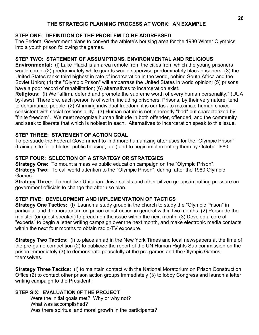#### **THE STRATEGIC PLANNING PROCESS AT WORK: AN EXAMPLE**

#### **STEP ONE: DEFINITION OF THE PROBLEM TO BE ADDRESSED**

The Federal Government plans to convert the athlete's housing area for the 1980 Winter Olympics into a youth prison following the games.

#### **STEP TWO: STATEMENT OF ASSUMPTIONS, ENVIRONMENTAL AND RELIGIOUS**

**Environmental:** (l) Lake Placid is an area remote from the cities from which the young prisoners would come; (2) predominately white guards would supervise predominately black prisoners; (3) the United States ranks third highest in rate of incarceration in the world, behind South Africa and the Soviet Union; (4) the "Olympic Prison" will embarrass the United States in world opinion; (5) prisons have a poor record of rehabilitation; (6) alternatives to incarceration exist.

**Religious:** (l) We "affirm, defend and promote the supreme worth of every human personality." (UUA by-laws) Therefore, each person is of worth, including prisoners. Prisons, by their very nature, tend to dehumanize people. (2) Affirming individual freedom, it is our task to maximize human choice consistent with social responsibility. (3) Human nature is not inherently "bad" but characterized by "finite freedom". We must recognize human finitude in both offender, offended, and the community and seek to liberate that which is noblest in each. Alternatives to incarceration speak to this issue.

#### **STEP THREE: STATEMENT OF ACTION GOAL**

To persuade the Federal Government to find more humanizing after uses for the "Olympic Prison" (training site for athletes, public housing, etc.) and to begin implementing them by October l980.

#### **STEP FOUR: SELECTION OF A STRATEGY OR STRATEGIES**

**Strategy One:** To mount a massive public education campaign on the "Olympic Prison". **Strategy Two:** To call world attention to the "Olympic Prison", during after the 1980 Olympic Games.

**Strategy Three:** To mobilize Unitarian Universalists and other citizen groups in putting pressure on government officials to change the after-use plan.

#### **STEP FIVE: DEVELOPMENT AND IMPLEMENTATION OF TACTICS**

**Strategy One Tactics:** (I) Launch a study group in the church to study the "Olympic Prison" in particular and the moratorium on prison construction in general within two months. (2) Persuade the minister (or guest speaker) to preach on the issue within the next month. (3) Develop a core of "experts" to begin a letter writing campaign over the next month, and make electronic media contacts within the next four months to obtain radio-TV exposure.

**Strategy Two Tactics:** (l) to place an ad in the New York Times and local newspapers at the time of the pre-game competition (2) to publicize the report of the UN Human Rights Sub commission on the prison immediately (3) to demonstrate peacefully at the pre-games and the Olympic Games themselves.

**Strategy Three Tactics**: (l) to maintain contact with the National Moratorium on Prison Construction Office (2) to contact other prison action groups immediately (3) to lobby Congress and launch a letter writing campaign to the President**.** 

#### **STEP SIX: EVALUATION 0F THE PROJECT**

Were the initial goals met? Why or why not? What was accomplished? Was there spiritual and moral growth in the participants?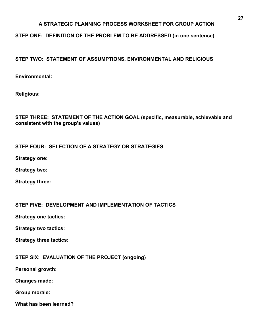#### **A STRATEGIC PLANNING PROCESS WORKSHEET FOR GROUP ACTION**

#### **STEP ONE: DEFINITION OF THE PROBLEM TO BE ADDRESSED (in one sentence)**

#### **STEP TWO: STATEMENT OF ASSUMPTIONS, ENVIRONMENTAL AND RELIGIOUS**

**Environmental:** 

**Religious:** 

#### **STEP THREE: STATEMENT OF THE ACTION GOAL (specific, measurable, achievable and consistent with the group's values)**

#### **STEP FOUR: SELECTION OF A STRATEGY OR STRATEGIES**

**Strategy one:** 

**Strategy two:** 

**Strategy three:** 

#### **STEP FIVE: DEVELOPMENT AND IMPLEMENTATION OF TACTICS**

**Strategy one tactics:** 

**Strategy two tactics:** 

**Strategy three tactics:** 

**STEP SIX: EVALUATION OF THE PROJECT (ongoing)** 

**Personal growth:**

**Changes made:** 

**Group morale:** 

**What has been learned?**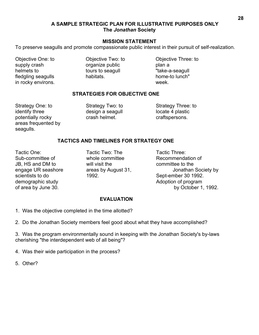#### **A SAMPLE STRATEGIC PLAN FOR ILLUSTRATIVE PURPOSES ONLY The** *Jonathan* **Society**

#### **MISSION STATEMENT**

To preserve seagulls and promote compassionate public interest in their pursuit of self-realization.

Objective One: to Objective Two: to Objective Three: to supply crash organize public plan a helmets to tours to seagull the metal seagull the metal of the tours to seagull fledgling seagulls habitats. home-to lunch" in rocky environs. week.

#### **STRATEGIES FOR OBJECTIVE ONE**

Strategy One: to Strategy Two: to Strategy Three: to identify three design a seagull locate 4 plastic potentially rocky crash helmet. Crash helmet craftspersons. areas frequented by seagulls.

#### **TACTICS AND TIMELINES FOR STRATEGY ONE**

Tactic One: Tactic Two: The Tactic Three: Sub-committee of whole committee Recommendation of JB, HS and DM to will visit the committee to the scientists to do 1992. Sept-ember 30 1992. demographic study and a study and a study and a study and a study and a study and a study and a study and a study  $\alpha$ 

engage UR seashore areas by August 31, Jonathan Society by of area by June 30. by October 1, 1992.

#### **EVALUATION**

1. Was the objective completed in the time allotted?

2. Do the Jonathan Society members feel good about what they have accomplished?

3. Was the program environmentally sound in keeping with the Jonathan Society's by-laws cherishing "the interdependent web of all being"?

4. Was their wide participation in the process?

5. Other?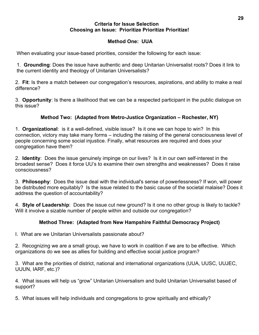#### **Criteria for Issue Selection Choosing an Issue: Prioritize Prioritize Prioritize!**

#### **Method One: UUA**

When evaluating your issue-based priorities, consider the following for each issue:

1. **Grounding**: Does the issue have authentic and deep Unitarian Universalist roots? Does it link to the current identity and theology of Unitarian Universalists?

2. **Fit**: Is there a match between our congregation's resources, aspirations, and ability to make a real difference?

3. **Opportunity**: Is there a likelihood that we can be a respected participant in the public dialogue on this issue?

#### **Method Two: (Adapted from Metro-Justice Organization – Rochester, NY)**

1. **Organizational**: is it a well-defined, visible issue? Is it one we can hope to win? In this connection, victory may take many forms – including the raising of the general consciousness level of people concerning some social injustice. Finally, what resources are required and does your congregation have them?

2. **Identity**: Does the issue genuinely impinge on our lives? Is it in our own self-interest in the broadest sense? Does it force UU's to examine their own strengths and weaknesses? Does it raise consciousness?

3. **Philosophy**: Does the issue deal with the individual's sense of powerlessness? If won, will power be distributed more equitably? Is the issue related to the basic cause of the societal malaise? Does it address the question of accountability?

4. **Style of Leadership**: Does the issue cut new ground? Is it one no other group is likely to tackle? Will it involve a sizable number of people within and outside our congregation?

#### **Method Three: (Adapted from New Hampshire Faithful Democracy Project)**

I. What are we Unitarian Universalists passionate about?

2. Recognizing we are a small group, we have to work in coalition if we are to be effective. Which organizations do we see as allies for building and effective social justice program?

3. What are the priorities of district, national and international organizations (UUA, UUSC, UUJEC, UUUN, IARF, etc.)?

4. What issues will help us "grow" Unitarian Universalism and build Unitarian Universalist based of support?

5. What issues will help individuals and congregations to grow spiritually and ethically?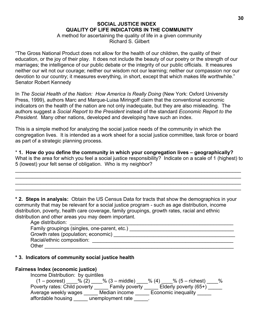#### **SOCIAL JUSTICE INDEX QUALITY OF LIFE INDICATORS IN THE COMMUNITY**

A method for ascertaining the quality of life in a given community Richard S. Gilbert

"The Gross National Product does not allow for the health of our children, the quality of their education, or the joy of their play. It does not include the beauty of our poetry or the strength of our marriages; the intelligence of our public debate or the integrity of our public officials. It measures neither our wit not our courage; neither our wisdom not our learning; neither our compassion nor our devotion to our country; it measures everything, in short, except that which makes life worthwhile." Senator Robert Kennedy

In *The Social Health of the Nation: How America Is Really Doing* (New York: Oxford University Press, 1999), authors Marc and Marque-Luisa Miringoff claim that the conventional economic indicators on the health of the nation are not only inadequate, but they are also misleading. The authors suggest a *Social Report to the President* instead of the standard *Economic Report to the President.* Many other nations, developed and developing have such an index.

This is a simple method for analyzing the social justice needs of the community in which the congregation lives. It is intended as a work sheet for a social justice committee, task force or board as part of a strategic planning process.

\* **1. How do you define the community in which your congregation lives – geographically?** What is the area for which you feel a social justice responsibility? Indicate on a scale of 1 (highest) to 5 (lowest) your felt sense of obligation. Who is my neighbor?

 $\mathcal{L}_\mathcal{L} = \mathcal{L}_\mathcal{L} = \mathcal{L}_\mathcal{L} = \mathcal{L}_\mathcal{L} = \mathcal{L}_\mathcal{L} = \mathcal{L}_\mathcal{L} = \mathcal{L}_\mathcal{L} = \mathcal{L}_\mathcal{L} = \mathcal{L}_\mathcal{L} = \mathcal{L}_\mathcal{L} = \mathcal{L}_\mathcal{L} = \mathcal{L}_\mathcal{L} = \mathcal{L}_\mathcal{L} = \mathcal{L}_\mathcal{L} = \mathcal{L}_\mathcal{L} = \mathcal{L}_\mathcal{L} = \mathcal{L}_\mathcal{L}$ \_\_\_\_\_\_\_\_\_\_\_\_\_\_\_\_\_\_\_\_\_\_\_\_\_\_\_\_\_\_\_\_\_\_\_\_\_\_\_\_\_\_\_\_\_\_\_\_\_\_\_\_\_\_\_\_\_\_\_\_\_\_\_\_\_\_\_\_\_\_\_\_\_\_\_\_\_\_\_\_  $\_$  $\mathcal{L}_\mathcal{L} = \mathcal{L}_\mathcal{L} = \mathcal{L}_\mathcal{L} = \mathcal{L}_\mathcal{L} = \mathcal{L}_\mathcal{L} = \mathcal{L}_\mathcal{L} = \mathcal{L}_\mathcal{L} = \mathcal{L}_\mathcal{L} = \mathcal{L}_\mathcal{L} = \mathcal{L}_\mathcal{L} = \mathcal{L}_\mathcal{L} = \mathcal{L}_\mathcal{L} = \mathcal{L}_\mathcal{L} = \mathcal{L}_\mathcal{L} = \mathcal{L}_\mathcal{L} = \mathcal{L}_\mathcal{L} = \mathcal{L}_\mathcal{L}$ 

**\* 2. Steps in analysis:** Obtain the US Census Data for tracts that show the demographics in your community that may be relevant for a social justice program - such as age distribution, income distribution, poverty, health care coverage, family groupings, growth rates, racial and ethnic distribution and other areas you may deem important.

| Age distribution:                            |  |
|----------------------------------------------|--|
| Family groupings (singles, one-parent, etc.) |  |
| Growth rates (population; economic)          |  |
| Racial/ethnic composition:                   |  |
| Other                                        |  |

#### **\* 3. Indicators of community social justice health**

#### **Fairness Index (economic justice)**

| Income Distribution: by quintiles |                   |                            |   |
|-----------------------------------|-------------------|----------------------------|---|
| $(1 -$ poorest) % (2)             | $% (3 - middle)$  | % (4)<br>$%$ (5 – richest) | % |
| Poverty rates: Child poverty      | Family poverty    | Elderly poverty $(65+)$    |   |
| Average weekly wages              | Median income     | Economic inequality        |   |
| affordable housing                | unemployment rate |                            |   |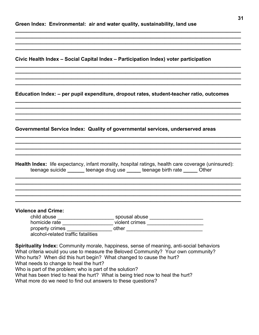**\_\_\_\_\_\_\_\_\_\_\_\_\_\_\_\_\_\_\_\_\_\_\_\_\_\_\_\_\_\_\_\_\_\_\_\_\_\_\_\_\_\_\_\_\_\_\_\_\_\_\_\_\_\_\_\_\_\_\_\_\_\_\_\_\_\_\_\_\_\_\_\_\_\_\_\_\_\_\_\_ \_\_\_\_\_\_\_\_\_\_\_\_\_\_\_\_\_\_\_\_\_\_\_\_\_\_\_\_\_\_\_\_\_\_\_\_\_\_\_\_\_\_\_\_\_\_\_\_\_\_\_\_\_\_\_\_\_\_\_\_\_\_\_\_\_\_\_\_\_\_\_\_\_\_\_\_\_\_\_\_ \_\_\_\_\_\_\_\_\_\_\_\_\_\_\_\_\_\_\_\_\_\_\_\_\_\_\_\_\_\_\_\_\_\_\_\_\_\_\_\_\_\_\_\_\_\_\_\_\_\_\_\_\_\_\_\_\_\_\_\_\_\_\_\_\_\_\_\_\_\_\_\_\_\_\_\_\_\_\_\_**

|                            | Civic Health Index - Social Capital Index - Participation Index) voter participation                                                                                                  |
|----------------------------|---------------------------------------------------------------------------------------------------------------------------------------------------------------------------------------|
|                            |                                                                                                                                                                                       |
|                            | Education Index: - per pupil expenditure, dropout rates, student-teacher ratio, outcomes                                                                                              |
|                            |                                                                                                                                                                                       |
|                            | Governmental Service Index: Quality of governmental services, underserved areas                                                                                                       |
|                            |                                                                                                                                                                                       |
|                            |                                                                                                                                                                                       |
|                            | Health Index: life expectancy, infant morality, hospital ratings, health care coverage (uninsured):<br>teenage suicide _______ teenage drug use _____ teenage birth rate ______ Other |
|                            |                                                                                                                                                                                       |
|                            |                                                                                                                                                                                       |
| <b>Violence and Crime:</b> |                                                                                                                                                                                       |
|                            | property crimes _______________________ other __________________________________                                                                                                      |

**Spirituality Index:** Community morale, happiness, sense of meaning, anti-social behaviors What criteria would you use to measure the Beloved Community? Your own community? Who hurts? When did this hurt begin? What changed to cause the hurt? What needs to change to heal the hurt?

Who is part of the problem; who is part of the solution?

What has been tried to heal the hurt? What is being tried now to heal the hurt?

What more do we need to find out answers to these questions?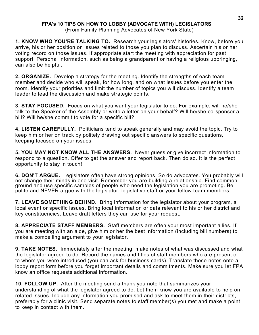#### **FPA's 10 TIPS ON HOW TO LOBBY (ADVOCATE WITH) LEGISLATORS**

(From Family Planning Advocates of New York State)

**1. KNOW WHO YOU'RE TALKING TO.** Research your legislators' histories. Know, before you arrive, his or her position on issues related to those you plan to discuss. Ascertain his or her voting record on those issues. If appropriate start the meeting with appreciation for past support. Personal information, such as being a grandparent or having a religious upbringing, can also be helpful.

**2. ORGANIZE.** Develop a strategy for the meeting. Identify the strengths of each team member and decide who will speak, for how long, and on what issues before you enter the room. Identify your priorities and limit the number of topics you will discuss. Identify a team leader to lead the discussion and make strategic points.

**3. STAY FOCUSED.** Focus on what you want your legislator to do. For example, will he/she talk to the Speaker of the Assembly or write a letter on your behalf? Will he/she co-sponsor a bill? Will he/she commit to vote for a specific bill?

**4. LISTEN CAREFULLY.** Politicians tend to speak generally and may avoid the topic. Try to keep him or her on track by politely drawing out specific answers to specific questions, keeping focused on your issues

**5. YOU MAY NOT KNOW ALL THE ANSWERS.** Never guess or give incorrect information to respond to a question. Offer to get the answer and report back. Then do so. It is the perfect opportunity to stay in touch!

**6. DON'T ARGUE.** Legislators often have strong opinions. So do advocates. You probably will not change their minds in one visit. Remember you are building a relationship. Find common ground and use specific samples of people who need the legislation you are promoting. Be polite and NEVER argue with the legislator, legislative staff or your fellow team members.

**7. LEAVE SOMETHING BEHIND.** Bring information for the legislator about your program, a local event or specific issues. Bring local information or data relevant to his or her district and key constituencies. Leave draft letters they can use for your request.

**8. APPRECIATE STAFF MEMBERS.** Staff members are often your most important allies. If you are meeting with an aide, give him or her the best information (including bill numbers) to make a compelling argument to your legislator.

**9. TAKE NOTES.** Immediately after the meeting, make notes of what was discussed and what the legislator agreed to do. Record the names and titles of staff members who are present or to whom you were introduced (you can ask for business cards). Translate those notes onto a lobby report form before you forget important details and commitments. Make sure you let FPA know an office requests additional information.

**10. FOLLOW UP.** After the meeting send a thank you note that summarizes your understanding of what the legislator agreed to do. Let them know you are available to help on related issues. Include any information you promised and ask to meet them in their districts, preferably for a clinic visit. Send separate notes to staff member(s) you met and make a point to keep in contact with them.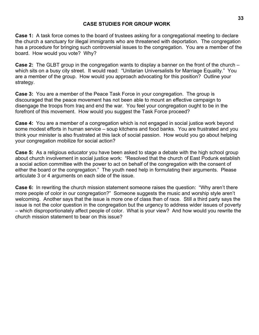**Case 1:** A task force comes to the board of trustees asking for a congregational meeting to declare the church a sanctuary for illegal immigrants who are threatened with deportation. The congregation has a procedure for bringing such controversial issues to the congregation. You are a member of the board. How would you vote? Why?

**Case 2:** The GLBT group in the congregation wants to display a banner on the front of the church – which sits on a busy city street. It would read: "Unitarian Universalists for Marriage Equality." You are a member of the group. How would you approach advocating for this position? Outline your strategy.

**Case 3:** You are a member of the Peace Task Force in your congregation. The group is discouraged that the peace movement has not been able to mount an effective campaign to disengage the troops from Iraq and end the war. You feel your congregation ought to be in the forefront of this movement. How would you suggest the Task Force proceed?

**Case 4:** You are a member of a congregation which is not engaged in social justice work beyond some modest efforts in human service – soup kitchens and food banks. You are frustrated and you think your minister is also frustrated at this lack of social passion. How would you go about helping your congregation mobilize for social action?

**Case 5:** As a religious educator you have been asked to stage a debate with the high school group about church involvement in social justice work: "Resolved that the church of East Podunk establish a social action committee with the power to act on behalf of the congregation with the consent of either the board or the congregation." The youth need help in formulating their arguments. Please articulate 3 or 4 arguments on each side of the issue.

**Case 6:** In rewriting the church mission statement someone raises the question: "Why aren't there more people of color in our congregation?" Someone suggests the music and worship style aren't welcoming. Another says that the issue is more one of class than of race. Still a third party says the issue is not the color question in the congregation but the urgency to address wider issues of poverty – which disproportionately affect people of color. What is your view? And how would you rewrite the church mission statement to bear on this issue?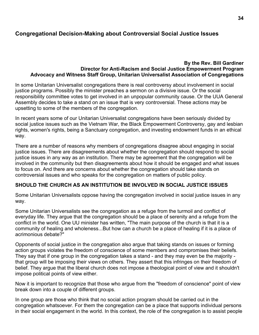### **Congregational Decision-Making about Controversial Social Justice Issues**

#### **By the Rev. Bill Gardiner Director for Anti-Racism and Social Justice Empowerment Program Advocacy and Witness Staff Group, Unitarian Universalist Association of Congregations**

In some Unitarian Universalist congregations there is real controversy about involvement in social justice programs. Possibly the minister preaches a sermon on a divisive issue. Or the social responsibility committee votes to get involved in an unpopular community cause. Or the UUA General Assembly decides to take a stand on an issue that is very controversial. These actions may be upsetting to some of the members of the congregation.

In recent years some of our Unitarian Universalist congregations have been seriously divided by social justice issues such as the Vietnam War, the Black Empowerment Controversy, gay and lesbian rights, women's rights, being a Sanctuary congregation, and investing endowment funds in an ethical way.

There are a number of reasons why members of congregations disagree about engaging in social justice issues. There are disagreements about whether the congregation should respond to social justice issues in any way as an institution. There may be agreement that the congregation will be involved in the community but then disagreements about how it should be engaged and what issues to focus on. And there are concerns about whether the congregation should take stands on controversial issues and who speaks for the congregation on matters of public policy.

#### **SHOULD THE CHURCH AS AN INSTITUTION BE INVOLVED IN SOCIAL JUSTICE ISSUES**

Some Unitarian Universalists oppose having the congregation involved in social justice issues in any way.

Some Unitarian Universalists see the congregation as a refuge from the turmoil and conflict of everyday life. They argue that the congregation should be a place of serenity and a refuge from the conflict in the world. One UU minister has written, "The main purpose of the church is that it is a community of healing and wholeness...But how can a church be a place of healing if it is a place of acrimonious debate?"

Opponents of social justice in the congregation also argue that taking stands on issues or forming action groups violates the freedom of conscience of some members and compromises their beliefs. They say that if one group in the congregation takes a stand - and they may even be the majority that group will be imposing their views on others. They assert that this infringes on their freedom of belief. They argue that the liberal church does not impose a theological point of view and it shouldn't impose political points of view either.

Now it is important to recognize that those who argue from the "freedom of conscience" point of view break down into a couple of different groups.

In one group are those who think that no social action program should be carried out in the congregation whatsoever. For them the congregation can be a place that supports individual persons in their social engagement in the world. In this context, the role of the congregation is to assist people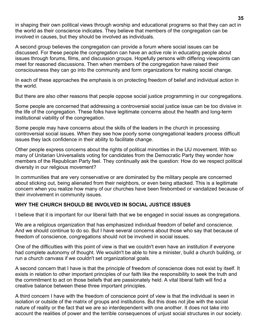in shaping their own political views through worship and educational programs so that they can act in the world as their conscience indicates. They believe that members of the congregation can be involved in causes, but they should be involved as individuals.

A second group believes the congregation can provide a forum where social issues can be discussed. For these people the congregation can have an active role in educating people about issues through forums, films, and discussion groups. Hopefully persons with differing viewpoints can meet for reasoned discussions. Then when members of the congregation have raised their consciousness they can go into the community and form organizations for making social change.

In each of these approaches the emphasis is on protecting freedom of belief and individual action in the world.

But there are also other reasons that people oppose social justice programming in our congregations.

Some people are concerned that addressing a controversial social justice issue can be too divisive in the life of the congregation. These folks have legitimate concerns about the health and long-term institutional viability of the congregation.

Some people may have concerns about the skills of the leaders in the church in processing controversial social issues. When they see how poorly some congregational leaders process difficult issues they lack confidence in their ability to facilitate change.

Other people express concerns about the rights of political minorities in the UU movement. With so many of Unitarian Universalists voting for candidates from the Democratic Party they wonder how members of the Republican Party feel. They continually ask the question: How do we respect political diversity in our religious movement?

In communities that are very conservative or are dominated by the military people are concerned about sticking out, being alienated from their neighbors, or even being attacked. This is a legitimate concern when you realize how many of our churches have been firebombed or vandalized because of their involvement in community issues.

#### **WHY THE CHURCH SHOULD BE INVOLVED IN SOCIAL JUSTICE ISSUES**

I believe that it is important for our liberal faith that we be engaged in social issues as congregations.

We are a religious organization that has emphasized individual freedom of belief and conscience. And we should continue to do so. But I have several concerns about those who say that because of freedom of conscience, congregations should not be involved in social issues.

One of the difficulties with this point of view is that we couldn't even have an institution if everyone had complete autonomy of thought. We wouldn't be able to hire a minister, build a church building, or run a church canvass if we couldn't set organizational goals.

A second concern that I have is that the principle of freedom of conscience does not exist by itself. It exists in relation to other important principles of our faith like the responsibility to seek the truth and the commitment to act on those beliefs that are passionately held. A vital liberal faith will find a creative balance between these three important principles.

A third concern I have with the freedom of conscience point of view is that the individual is seen in isolation or outside of the matrix of groups and institutions. But this does not jibe with the social nature of reality or the fact that we are so interdependent with one another. It does not take into account the realities of power and the terrible consequences of unjust social structures in our society.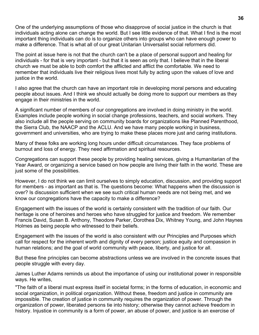One of the underlying assumptions of those who disapprove of social justice in the church is that individuals acting alone can change the world. But I see little evidence of that. What I find is the most important thing individuals can do is to organize others into groups who can have enough power to make a difference. That is what all of our great Unitarian Universalist social reformers did.

The point at issue here is not that the church can't be a place of personal support and healing for individuals - for that is very important - but that it is seen as only that. I believe that in the liberal church we must be able to both comfort the afflicted and afflict the comfortable. We need to remember that individuals live their religious lives most fully by acting upon the values of love and justice in the world.

I also agree that the church can have an important role in developing moral persons and educating people about issues. And I think we should actually be doing more to support our members as they engage in their ministries in the world.

A significant number of members of our congregations are involved in doing ministry in the world. Examples include people working in social change professions, teachers, and social workers. They also include all the people serving on community boards for organizations like Planned Parenthood, the Sierra Club, the NAACP and the ACLU. And we have many people working in business, government and universities, who are trying to make these places more just and caring institutions.

Many of these folks are working long hours under difficult circumstances. They face problems of burnout and loss of energy. They need affirmation and spiritual resources.

Congregations can support these people by providing healing services, giving a Humanitarian of the Year Award, or organizing a service based on how people are living their faith in the world. These are just some of the possibilities.

However, I do not think we can limit ourselves to simply education, discussion, and providing support for members - as important as that is. The questions become: What happens when the discussion is over? Is discussion sufficient when we see such critical human needs are not being met, and we know our congregations have the capacity to make a difference?

Engagement with the issues of the world is certainly consistent with the tradition of our faith. Our heritage is one of heroines and heroes who have struggled for justice and freedom. We remember Francis David, Susan B. Anthony, Theodore Parker, Dorothea Dix, Whitney Young, and John Haynes Holmes as being people who witnessed to their beliefs.

Engagement with the issues of the world is also consistent with our Principles and Purposes which call for respect for the inherent worth and dignity of every person; justice equity and compassion in human relations; and the goal of world community with peace, liberty, and justice for all.

But these fine principles can become abstractions unless we are involved in the concrete issues that people struggle with every day.

James Luther Adams reminds us about the importance of using our institutional power in responsible ways. He writes,

"The faith of a liberal must express itself in societal forms; in the forms of education, in economic and social organization, in political organization. Without these, freedom and justice in community are impossible. The creation of justice in community requires the organization of power. Through the organization of power, liberated persons tie into history; otherwise they cannot achieve freedom in history. Injustice in community is a form of power, an abuse of power, and justice is an exercise of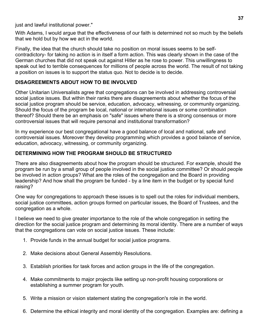just and lawful institutional power."

With Adams, I would argue that the effectiveness of our faith is determined not so much by the beliefs that we hold but by how we act in the world.

Finally, the idea that the church should take no position on moral issues seems to be selfcontradictory- for taking no action is in itself a form action. This was clearly shown in the case of the German churches that did not speak out against Hitler as he rose to power. This unwillingness to speak out led to terrible consequences for millions of people across the world. The result of not taking a position on issues is to support the status quo. Not to decide is to decide.

#### **DISAGREEMENTS ABOUT HOW TO BE INVOLVED**

Other Unitarian Universalists agree that congregations can be involved in addressing controversial social justice issues. But within their ranks there are disagreements about whether the focus of the social justice program should be service, education, advocacy, witnessing, or community organizing. Should the focus of the program be local, national or international issues or some combination thereof? Should there be an emphasis on "safe" issues where there is a strong consensus or more controversial issues that will require personal and institutional transformation?

In my experience our best congregational have a good balance of local and national, safe and controversial issues. Moreover they develop programming which provides a good balance of service, education, advocacy, witnessing, or community organizing.

#### **DETERMINING HOW THE PROGRAM SHOULD BE STRUCTURED**

There are also disagreements about how the program should be structured. For example, should the program be run by a small group of people involved in the social justice committee? Or should people be involved in action groups? What are the roles of the congregation and the Board in providing leadership? And how shall the program be funded - by a line item in the budget or by special fund raising?

One way for congregations to approach these issues is to spell out the roles for individual members, social justice committees, action groups formed on particular issues, the Board of Trustees, and the congregation as a whole.

I believe we need to give greater importance to the role of the whole congregation in setting the direction for the social justice program and determining its moral identity. There are a number of ways that the congregations can vote on social justice issues. These include:

- 1. Provide funds in the annual budget for social justice programs.
- 2. Make decisions about General Assembly Resolutions.
- 3. Establish priorities for task forces and action groups in the life of the congregation.
- 4. Make commitments to major projects like setting up non-profit housing corporations or establishing a summer program for youth.
- 5. Write a mission or vision statement stating the congregation's role in the world.
- 6. Determine the ethical integrity and moral identity of the congregation. Examples are: defining a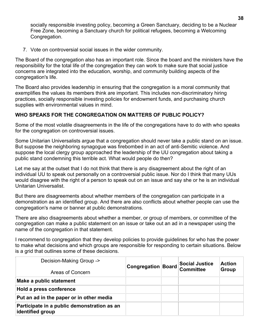socially responsible investing policy, becoming a Green Sanctuary, deciding to be a Nuclear Free Zone, becoming a Sanctuary church for political refugees, becoming a Welcoming Congregation.

7. Vote on controversial social issues in the wider community.

The Board of the congregation also has an important role. Since the board and the ministers have the responsibility for the total life of the congregation they can work to make sure that social justice concerns are integrated into the education, worship, and community building aspects of the congregation's life.

The Board also provides leadership in ensuring that the congregation is a moral community that exemplifies the values its members think are important. This includes non-discriminatory hiring practices, socially responsible investing policies for endowment funds, and purchasing church supplies with environmental values in mind.

#### **WHO SPEAKS FOR THE CONGREGATION ON MATTERS OF PUBLIC POLICY?**

Some of the most volatile disagreements in the life of the congregations have to do with who speaks for the congregation on controversial issues.

Some Unitarian Universalists argue that a congregation should never take a public stand on an issue. But suppose the neighboring synagogue was firebombed in an act of anti-Semitic violence. And suppose the local clergy group approached the leadership of the UU congregation about taking a public stand condemning this terrible act. What would people do then?

Let me say at the outset that I do not think that there is any disagreement about the right of an individual UU to speak out personally on a controversial public issue. Nor do I think that many UUs would disagree with the right of a person to speak out on an issue and say she or he is an individual Unitarian Universalist.

But there are disagreements about whether members of the congregation can participate in a demonstration as an identified group. And there are also conflicts about whether people can use the congregation's name or banner at public demonstrations.

There are also disagreements about whether a member, or group of members, or committee of the congregation can make a public statement on an issue or take out an ad in a newspaper using the name of the congregation in that statement.

I recommend to congregation that they develop policies to provide guidelines for who has the power to make what decisions and which groups are responsible for responding to certain situations. Below is a grid that outlines some of these decisions.

| Decision-Making Group ->                                        | <b>Congregation Board</b> | Social Justice<br><b>Committee</b> | <b>Action</b><br>Group |
|-----------------------------------------------------------------|---------------------------|------------------------------------|------------------------|
| Areas of Concern                                                |                           |                                    |                        |
| Make a public statement                                         |                           |                                    |                        |
| Hold a press conference                                         |                           |                                    |                        |
| Put an ad in the paper or in other media                        |                           |                                    |                        |
| Participate in a public demonstration as an<br>identified group |                           |                                    |                        |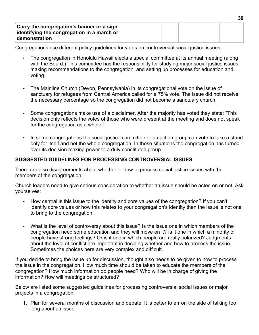| Carry the congregation's banner or a sign  |  |  |
|--------------------------------------------|--|--|
| identifying the congregation in a march or |  |  |
| <b>demonstration</b>                       |  |  |

Congregations use different policy guidelines for votes on controversial social justice issues:

- The congregation in Honolulu Hawaii elects a special committee at its annual meeting (along with the Board.) This committee has the responsibility for studying major social justice issues, making recommendations to the congregation, and setting up processes for education and voting.
- The Mainline Church (Devon, Pennsylvania) in its congregational vote on the issue of sanctuary for refugees from Central America called for a 75% vote. The issue did not receive the necessary percentage so the congregation did not become a sanctuary church.
- Some congregations make use of a disclaimer. After the majority has voted they state: "This decision only reflects the votes of those who were present at the meeting and does not speak for the congregation as a whole."
- In some congregations the social justice committee or an action group can vote to take a stand only for itself and not the whole congregation. In these situations the congregation has turned over its decision making power to a duly constituted group.

#### **SUGGESTED GUIDELINES FOR PROCESSING CONTROVERSIAL ISSUES**

There are also disagreements about whether or how to process social justice issues with the members of the congregation.

Church leaders need to give serious consideration to whether an issue should be acted on or not. Ask yourselves:

- How central is this issue to the identity and core values of the congregation? If you can't identify core values or how this relates to your congregation's identity then the issue is not one to bring to the congregation.
- What is the level of controversy about this issue? Is the issue one in which members of the congregation need some education and they will move on it? Is it one in which a minority of people have strong feelings? Or is it one in which people are really polarized? Judgments about the level of conflict are important in deciding whether and how to process the issue. Sometimes the choices here are very complex and difficult.

If you decide to bring the issue up for discussion, thought also needs to be given to how to process the issue in the congregation. How much time should be taken to educate the members of the congregation? How much information do people need? Who will be in charge of giving the information? How will meetings be structured?

Below are listed some suggested guidelines for processing controversial social issues or major projects in a congregation:

1. Plan for several months of discussion and debate. It is better to err on the side of talking too long about an issue.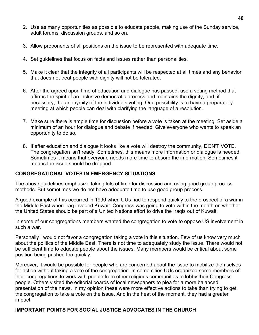- 2. Use as many opportunities as possible to educate people, making use of the Sunday service, adult forums, discussion groups, and so on.
- 3. Allow proponents of all positions on the issue to be represented with adequate time.
- 4. Set guidelines that focus on facts and issues rather than personalities.
- 5. Make it clear that the integrity of all participants will be respected at all times and any behavior that does not treat people with dignity will not be tolerated.
- 6. After the agreed upon time of education and dialogue has passed, use a voting method that affirms the spirit of an inclusive democratic process and maintains the dignity, and, if necessary, the anonymity of the individuals voting. One possibility is to have a preparatory meeting at which people can deal with clarifying the language of a resolution.
- 7. Make sure there is ample time for discussion before a vote is taken at the meeting. Set aside a minimum of an hour for dialogue and debate if needed. Give everyone who wants to speak an opportunity to do so.
- 8. If after education and dialogue it looks like a vote will destroy the community, DON'T VOTE. The congregation isn't ready. Sometimes, this means more information or dialogue is needed. Sometimes it means that everyone needs more time to absorb the information. Sometimes it means the issue should be dropped.

#### **CONGREGATIONAL VOTES IN EMERGENCY SITUATIONS**

The above guidelines emphasize taking lots of time for discussion and using good group process methods. But sometimes we do not have adequate time to use good group process.

A good example of this occurred in 1990 when UUs had to respond quickly to the prospect of a war in the Middle East when Iraq invaded Kuwait. Congress was going to vote within the month on whether the United States should be part of a United Nations effort to drive the Iraqis out of Kuwait.

In some of our congregations members wanted the congregation to vote to oppose US involvement in such a war.

Personally I would not favor a congregation taking a vote in this situation. Few of us know very much about the politics of the Middle East. There is not time to adequately study the issue. There would not be sufficient time to educate people about the issues. Many members would be critical about some position being pushed too quickly.

Moreover, it would be possible for people who are concerned about the issue to mobilize themselves for action without taking a vote of the congregation. In some cities UUs organized some members of their congregations to work with people from other religious communities to lobby their Congress people. Others visited the editorial boards of local newspapers to plea for a more balanced presentation of the news. In my opinion these were more effective actions to take than trying to get the congregation to take a vote on the issue. And in the heat of the moment, they had a greater impact.

#### **IMPORTANT POINTS FOR SOCIAL JUSTICE ADVOCATES IN THE CHURCH**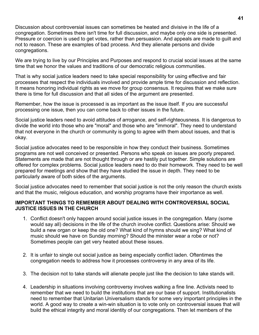Discussion about controversial issues can sometimes be heated and divisive in the life of a congregation. Sometimes there isn't time for full discussion, and maybe only one side is presented. Pressure or coercion is used to get votes, rather than persuasion. And appeals are made to guilt and not to reason. These are examples of bad process. And they alienate persons and divide congregations.

We are trying to live by our Principles and Purposes and respond to crucial social issues at the same time that we honor the values and traditions of our democratic religious communities.

That is why social justice leaders need to take special responsibility for using effective and fair processes that respect the individuals involved and provide ample time for discussion and reflection. It means honoring individual rights as we move for group consensus. It requires that we make sure there is time for full discussion and that all sides of the argument are presented.

Remember, how the issue is processed is as important as the issue itself. If you are successful processing one issue, then you can come back to other issues in the future.

Social justice leaders need to avoid attitudes of arrogance, and self-righteousness. It is dangerous to divide the world into those who are "moral" and those who are "immoral". They need to understand that not everyone in the church or community is going to agree with them about issues, and that is okay.

Social justice advocates need to be responsible in how they conduct their business. Sometimes programs are not well conceived or presented. Persons who speak on issues are poorly prepared. Statements are made that are not thought through or are hastily put together. Simple solutions are offered for complex problems. Social justice leaders need to do their homework. They need to be well prepared for meetings and show that they have studied the issue in depth. They need to be particularly aware of both sides of the arguments.

Social justice advocates need to remember that social justice is not the only reason the church exists and that the music, religious education, and worship programs have their importance as well.

#### **IMPORTANT THINGS TO REMEMBER ABOUT DEALING WITH CONTROVERSIAL SOCIAL JUSTICE ISSUES IN THE CHURCH**

- 1. Conflict doesn't only happen around social justice issues in the congregation. Many (some would say all) decisions in the life of the church involve conflict. Questions arise: Should we build a new organ or keep the old one? What kind of hymns should we sing? What kind of music should we have on Sunday morning? Should the minister wear a robe or not? Sometimes people can get very heated about these issues.
- 2. It is unfair to single out social justice as being especially conflict laden. Oftentimes the congregation needs to address how it processes controversy in any area of its life.
- 3. The decision not to take stands will alienate people just like the decision to take stands will.
- 4. Leadership in situations involving controversy involves walking a fine line. Activists need to remember that we need to build the institutions that are our base of support. Institutionalists need to remember that Unitarian Universalism stands for some very important principles in the world. A good way to create a win-win situation is to vote only on controversial issues that will build the ethical integrity and moral identity of our congregations. Then let members of the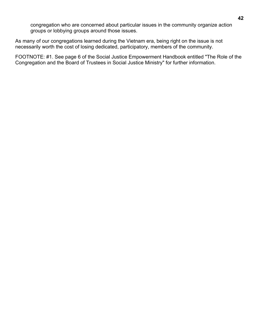congregation who are concerned about particular issues in the community organize action groups or lobbying groups around those issues.

As many of our congregations learned during the Vietnam era, being right on the issue is not necessarily worth the cost of losing dedicated, participatory, members of the community.

FOOTNOTE: #1. See page 6 of the Social Justice Empowerment Handbook entitled "The Role of the Congregation and the Board of Trustees in Social Justice Ministry" for further information.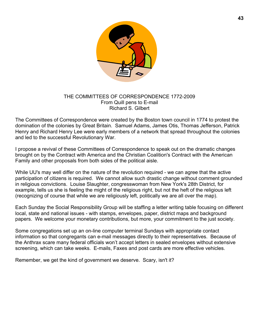

#### THE COMMITTEES OF CORRESPONDENCE 1772-2009 From Quill pens to E-mail Richard S. Gilbert

The Committees of Correspondence were created by the Boston town council in 1774 to protest the domination of the colonies by Great Britain. Samuel Adams, James Otis, Thomas Jefferson, Patrick Henry and Richard Henry Lee were early members of a network that spread throughout the colonies and led to the successful Revolutionary War.

I propose a revival of these Committees of Correspondence to speak out on the dramatic changes brought on by the Contract with America and the Christian Coalition's Contract with the American Family and other proposals from both sides of the political aisle.

While UU's may well differ on the nature of the revolution required - we can agree that the active participation of citizens is required. We cannot allow such drastic change without comment grounded in religious convictions. Louise Slaughter, congresswoman from New York's 28th District, for example, tells us she is feeling the might of the religious right, but not the heft of the religious left (recognizing of course that while we are religiously left, politically we are all over the map).

Each Sunday the Social Responsibility Group will be staffing a letter writing table focusing on different local, state and national issues - with stamps, envelopes, paper, district maps and background papers. We welcome your monetary contributions, but more, your commitment to the just society.

Some congregations set up an on-line computer terminal Sundays with appropriate contact information so that congregants can e-mail messages directly to their representatives. Because of the Anthrax scare many federal officials won't accept letters in sealed envelopes without extensive screening, which can take weeks. E-mails, Faxes and post cards are more effective vehicles.

Remember, we get the kind of government we deserve. Scary, isn't it?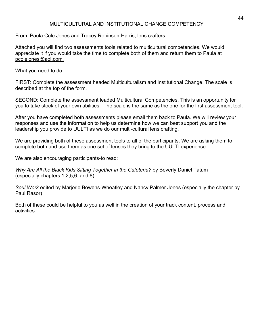#### MULTICULTURAL AND INSTITUTIONAL CHANGE COMPETENCY

From: Paula Cole Jones and Tracey Robinson-Harris, lens crafters

Attached you will find two assessments tools related to multicultural competencies. We would appreciate it if you would take the time to complete both of them and return them to Paula at pcolejones@aol.com.

What you need to do:

FIRST: Complete the assessment headed Multiculturalism and Institutional Change. The scale is described at the top of the form.

SECOND: Complete the assessment leaded Multicultural Competencies. This is an opportunity for you to take stock of your own abilities. The scale is the same as the one for the first assessment tool.

After you have completed both assessments please email them back to Paula. We will review your responses and use the information to help us determine how we can best support you and the leadership you provide to UULTI as we do our multi-cultural lens crafting.

We are providing both of these assessment tools to all of the participants. We are asking them to complete both and use them as one set of lenses they bring to the UULTl experience.

We are also encouraging participants-to read:

*Why Are All the Black Kids Sitting Together in the Cafeteria?* by Beverly Daniel Tatum (especially chapters 1,2,5,6, and 8)

*Soul Work* edited by Marjorie Bowens-Wheatley and Nancy Palmer Jones (especially the chapter by Paul Rasor)

Both of these could be helpful to you as well in the creation of your track content. process and activities.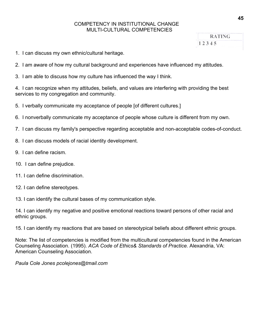#### COMPETENCY IN INSTITUTIONAL CHANGE MULTI-CULTURAL COMPETENCIES

| 1<br>.<br><b>Service</b><br><b>Contract Contract</b> |  |  |  |                                          |                                 |  |
|------------------------------------------------------|--|--|--|------------------------------------------|---------------------------------|--|
|                                                      |  |  |  | <b>STATISTICS</b><br><b>ALCOHOL: NEW</b> | ----------<br><b>CONTRACTOR</b> |  |

- 1. I can discuss my own ethnic/cultural heritage.
- 2. I am aware of how my cultural background and experiences have influenced my attitudes.
- 3. I am able to discuss how my culture has influenced the way I think.

4. I can recognize when my attitudes, beliefs, and values are interfering with providing the best services to my congregation and community.

- 5. I verbally communicate my acceptance of people [of different cultures.]
- 6. I nonverbally communicate my acceptance of people whose culture is different from my own.
- 7. I can discuss my family's perspective regarding acceptable and non-acceptable codes-of-conduct.
- 8. I can discuss models of racial identity development.
- 9. I can define racism.
- 10. I can define prejudice.
- 11. I can define discrimination.
- 12. I can define stereotypes.
- 13. I can identify the cultural bases of my communication style.

14. I can identify my negative and positive emotional reactions toward persons of other racial and ethnic groups.

15. I can identify my reactions that are based on stereotypical beliefs about different ethnic groups.

Note: The list of competencies is modified from the multicultural competencies found in the American Counseling Association. (1995). *ACA Code of Ethics& Standards of Practice.* Alexandria, VA: American Counseling Association.

*Paula Cole Jones pcolejones@tmail.com*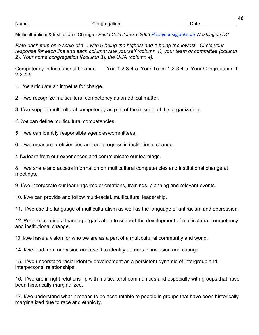Multiculturalism & Institutional Change - *Paula Cole Jones c 2006 Pcolejones@aol.com Washington DC* 

*Rate each item on a scale of* 1-5 *with* 5 *being the highest and 1 being the lowest. Circle your response for each line and each column: rate yourself (column 1), your team or committee (column*  2). *Your home congregation !(column* 3), *the UUA (column 4).* 

Competency In Institutional Change You 1-2-3-4-5 Your Team 1-2-3-4-5 Your Congregation 1- 2-3-4-5

1. I/we articulate an impetus for charge.

2. I/we recognize multicultural competency as an ethical matter.

3. I/we support multicultural competency as part of the mission of this organization.

*4. I/we* can define multicultural competencies.

5. I/we can identify responsible agencies/committees.

6. I/we measure-proficiencies and our progress in institutional change.

7. I/we learn from our experiences and communicate our learnings.

8. I/we share and access information on multicultural competencies and institutional change at meetings.

9. I/we incorporate our learnings into orientations, trainings, planning and relevant events.

10. I/we can provide and follow multi-racial, multicultural leadership.

11. I/we use the language of multiculturalism as well as the language of antiracism and oppression.

12. We are creating a learning organization to support the development of multicultural competency and institutional change.

13. I/we have a vision for who we are as a part of a multicultural community and world.

14. I/we lead from our vision and use it to identify barriers to inclusion and change.

15. I/we understand racial identity development as a persistent dynamic of intergroup and interpersonal relationships.

16. I/we-are in right relationship with multicultural communities and especially with groups that have been historically marginalized.

17. I/we understand what it means to be accountable to people in groups that have been historically marginalized due to race and ethnicity.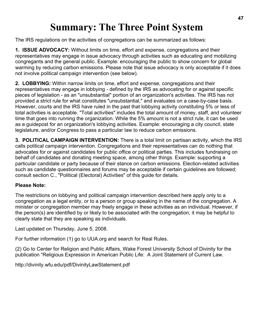### **Summary: The Three Point System**

The IRS regulations on the activities of congregations can be summarized as follows:

**1. ISSUE ADVOCACY:** Without limits on time, effort and expense, congregations and their representatives may engage in issue advocacy through activities such as educating and mobilizing congregants and the general public. Example: encouraging the public to show concern for global warming by reducing carbon emissions. Please note that issue advocacy is only acceptable if it does not involve political campaign intervention (see below).

**2. LOBBYING:** Within narrow limits on time, effort and expense, congregations and their representatives may engage in lobbying - defined by the IRS as advocating for or against specific pieces of legislation - as an "unsubstantial" portion of an organization's activities. The IRS has not provided a strict rule for what constitutes "unsubstantial," and evaluates on a case-by-case basis. However, courts and the IRS have ruled in the past that lobbying activity constituting 5% or less of total activities is acceptable. "Total activities" includes the total amount of money, staff, and volunteer time that goes into running the organization. While the 5% amount is not a strict rule, it can be used as a guidepost for an organization's lobbying activities. Example: encouraging a city council, state legislature, and/or Congress to pass a particular law to reduce carbon emissions.

**3. POLITICAL CAMPAIGN INTERVENTION:** There is a total limit on partisan activity, which the IRS calls political campaign intervention. Congregations and their representatives can do nothing that advocates for or against candidates for public office or political parties. This includes fundraising on behalf of candidates and donating meeting space, among other things. Example: supporting a particular candidate or party because of their stance on carbon emissions. Election-related activities such as candidate questionnaires and forums may be acceptable if certain guidelines are followed; consult section C., "Political (Electoral) Activities" of this guide for details.

#### **Please Note:**

The restrictions on lobbying and political campaign intervention described here apply only to a congregation as a legal entity, or to a person or group speaking in the name of the congregation. A minister or congregation member may freely engage in these activities as an individual. However, if the person(s) are identified by or likely to be associated with the congregation, it may be helpful to clearly state that they are speaking as individuals.

Last updated on Thursday, June 5, 2008.

For further information (1) go to UUA.org and search for Real Rules.

(2) Go to Center for Religion and Public Affairs, Wake Forest University School of Divinity for the publication "Religious Expression in American Public Life: A Joint Statement of Current Law.

http://divinity.wfu.edu/pdf/DivinityLawStatement.pdf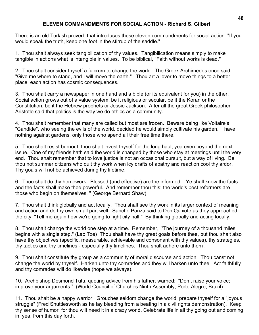#### **ELEVEN COMMANDMENTS FOR SOCIAL ACTION - Richard S. Gilbert**

There is an old Turkish proverb that introduces these eleven commandments for social action: "If you would speak the truth, keep one foot in the stirrup of the saddle."

1. Thou shalt always seek tangibilication of thy values. Tangibilication means simply to make tangible in actions what is intangible in values. To be biblical, "Faith without works is dead."

2. Thou shalt consider thyself a fulcrum to change the world. The Greek Archimedes once said, "Give me where to stand, and I will move the earth." Thou art a lever to move things to a better place; each action has cosmic consequences.

3. Thou shalt carry a newspaper in one hand and a bible (or its equivalent for you) in the other. Social action grows out of a value system, be it religious or secular, be it the Koran or the Constitution, be it the Hebrew prophets or Jessie Jackson. After all the great Greek philosopher Aristotle said that politics is the way we do ethics as a community.

4. Thou shalt remember that many are called but most are frozen. Beware being like Voltaire's "Candide", who seeing the evils of the world, decided he would simply cultivate his garden. I have nothing against gardens, only those who spend all their free time there.

5. Thou shalt resist burnout; thou shalt invest thyself for the long haul, yea even beyond the next issue. One of my friends hath said the world is changed by those who stay at meetings until the very end. Thou shalt remember that to love justice is not an occasional pursuit, but a way of living. Be thou not summer citizens who quit thy work when icy drafts of apathy and reaction cool thy ardor. Thy goals will not be achieved during thy lifetime.

6. Thou shalt do thy homework. Blessed (and effective) are the informed . Ye shall know the facts and the facts shall make thee powerful. And remember thou this: the world's best reformers are those who begin on themselves. " (George Bernard Shaw)

7. Thou shalt think globally and act locally. Thou shalt see thy work in its larger context of meaning and action and do thy own small part well. Sancho Panza said to Don Quixote as they approached the city: "Tell me again how we're going to fight city hall." By thinking globally and acting locally.

8. Thou shalt change the world one step at a time. Remember, "The journey of a thousand miles begins with a single step." (Lao Tze) Thou shalt have thy great goals before thee, but thou shalt also have thy objectives (specific, measurable, achievable and consonant with thy values), thy strategies, thy tactics and thy timelines - especially thy timelines. Thou shalt adhere unto them .

9. Thou shalt constitute thy group as a community of moral discourse and action. Thou canst not change the world by thyself. Harken unto thy comrades and they will harken unto thee. Act faithfully and thy comrades will do likewise (hope we always).

10. Archbishop Desmond Tutu, quoting advice from his father, warned: "Don't raise your voice; improve your arguments." (World Council of Churches Ninth Assembly, Porto Alegre, Brazil).

11. Thou shalt be a happy warrior. Grouches seldom change the world. prepare thyself for a "joyous struggle" (Fred Shuttlesworth as he lay bleeding from a beating in a civil rights demonstration). Keep thy sense of humor, for thou wilt need it in a crazy world. Celebrate life in all thy going out and coming in, yea, from this day forth.